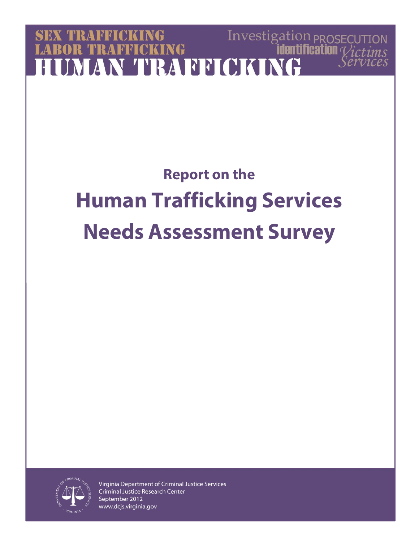# Investigation  $p_{\text{ROSECU}}$ **SEX TRAFFICK TRAFFICKING IMAN TRAFFICKING**

# **Report on the Human Trafficking Services Needs Assessment Survey**

 $S$ *<i>PT*U1



Virginia Department of Criminal Justice Services **Criminal Justice Research Center** September 2012 www.dcjs.virginia.gov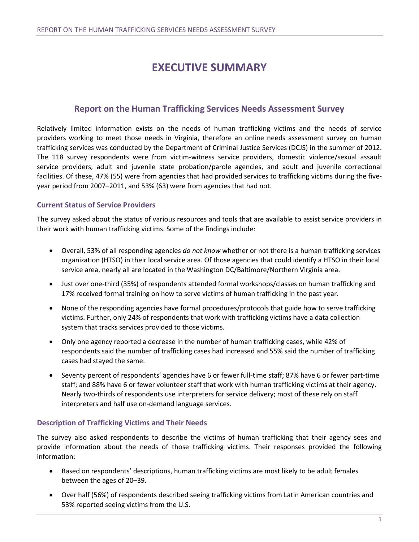# **EXECUTIVE SUMMARY**

# **Report on the Human Trafficking Services Needs Assessment Survey**

Relatively limited information exists on the needs of human trafficking victims and the needs of service providers working to meet those needs in Virginia, therefore an online needs assessment survey on human trafficking services was conducted by the Department of Criminal Justice Services (DCJS) in the summer of 2012. The 118 survey respondents were from victim-witness service providers, domestic violence/sexual assault service providers, adult and juvenile state probation/parole agencies, and adult and juvenile correctional facilities. Of these, 47% (55) were from agencies that had provided services to trafficking victims during the fiveyear period from 2007–2011, and 53% (63) were from agencies that had not.

# **Current Status of Service Providers**

The survey asked about the status of various resources and tools that are available to assist service providers in their work with human trafficking victims. Some of the findings include:

- Overall, 53% of all responding agencies *do not know* whether or not there is a human trafficking services organization (HTSO) in their local service area. Of those agencies that could identify a HTSO in their local service area, nearly all are located in the Washington DC/Baltimore/Northern Virginia area.
- Just over one-third (35%) of respondents attended formal workshops/classes on human trafficking and 17% received formal training on how to serve victims of human trafficking in the past year.
- None of the responding agencies have formal procedures/protocols that guide how to serve trafficking victims. Further, only 24% of respondents that work with trafficking victims have a data collection system that tracks services provided to those victims.
- Only one agency reported a decrease in the number of human trafficking cases, while 42% of respondents said the number of trafficking cases had increased and 55% said the number of trafficking cases had stayed the same.
- Seventy percent of respondents' agencies have 6 or fewer full-time staff; 87% have 6 or fewer part-time staff; and 88% have 6 or fewer volunteer staff that work with human trafficking victims at their agency. Nearly two-thirds of respondents use interpreters for service delivery; most of these rely on staff interpreters and half use on-demand language services.

# **Description of Trafficking Victims and Their Needs**

The survey also asked respondents to describe the victims of human trafficking that their agency sees and provide information about the needs of those trafficking victims. Their responses provided the following information:

- Based on respondents' descriptions, human trafficking victims are most likely to be adult females between the ages of 20–39.
- Over half (56%) of respondents described seeing trafficking victims from Latin American countries and 53% reported seeing victims from the U.S.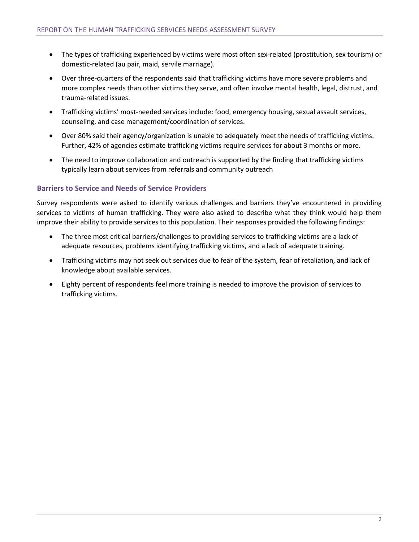- The types of trafficking experienced by victims were most often sex-related (prostitution, sex tourism) or domestic-related (au pair, maid, servile marriage).
- Over three-quarters of the respondents said that trafficking victims have more severe problems and more complex needs than other victims they serve, and often involve mental health, legal, distrust, and trauma-related issues.
- Trafficking victims' most-needed services include: food, emergency housing, sexual assault services, counseling, and case management/coordination of services.
- Over 80% said their agency/organization is unable to adequately meet the needs of trafficking victims. Further, 42% of agencies estimate trafficking victims require services for about 3 months or more.
- The need to improve collaboration and outreach is supported by the finding that trafficking victims typically learn about services from referrals and community outreach

# **Barriers to Service and Needs of Service Providers**

Survey respondents were asked to identify various challenges and barriers they've encountered in providing services to victims of human trafficking. They were also asked to describe what they think would help them improve their ability to provide services to this population. Their responses provided the following findings:

- The three most critical barriers/challenges to providing services to trafficking victims are a lack of adequate resources, problems identifying trafficking victims, and a lack of adequate training.
- Trafficking victims may not seek out services due to fear of the system, fear of retaliation, and lack of knowledge about available services.
- Eighty percent of respondents feel more training is needed to improve the provision of services to trafficking victims.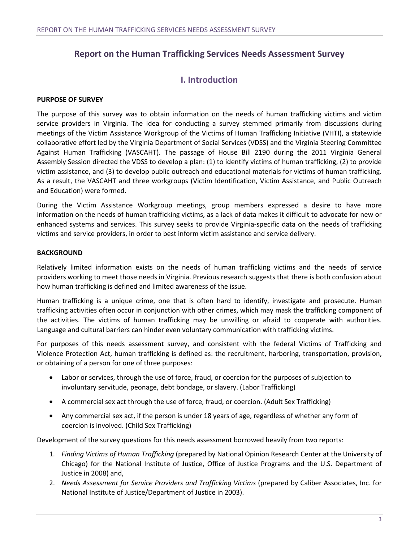# **Report on the Human Trafficking Services Needs Assessment Survey**

# **I. Introduction**

# **PURPOSE OF SURVEY**

The purpose of this survey was to obtain information on the needs of human trafficking victims and victim service providers in Virginia. The idea for conducting a survey stemmed primarily from discussions during meetings of the Victim Assistance Workgroup of the Victims of Human Trafficking Initiative (VHTI), a statewide collaborative effort led by the Virginia Department of Social Services (VDSS) and the Virginia Steering Committee Against Human Trafficking (VASCAHT). The passage of House Bill 2190 during the 2011 Virginia General Assembly Session directed the VDSS to develop a plan: (1) to identify victims of human trafficking, (2) to provide victim assistance, and (3) to develop public outreach and educational materials for victims of human trafficking. As a result, the VASCAHT and three workgroups (Victim Identification, Victim Assistance, and Public Outreach and Education) were formed.

During the Victim Assistance Workgroup meetings, group members expressed a desire to have more information on the needs of human trafficking victims, as a lack of data makes it difficult to advocate for new or enhanced systems and services. This survey seeks to provide Virginia-specific data on the needs of trafficking victims and service providers, in order to best inform victim assistance and service delivery.

# **BACKGROUND**

Relatively limited information exists on the needs of human trafficking victims and the needs of service providers working to meet those needs in Virginia. Previous research suggests that there is both confusion about how human trafficking is defined and limited awareness of the issue.

Human trafficking is a unique crime, one that is often hard to identify, investigate and prosecute. Human trafficking activities often occur in conjunction with other crimes, which may mask the trafficking component of the activities. The victims of human trafficking may be unwilling or afraid to cooperate with authorities. Language and cultural barriers can hinder even voluntary communication with trafficking victims.

For purposes of this needs assessment survey, and consistent with the federal Victims of Trafficking and Violence Protection Act, human trafficking is defined as: the recruitment, harboring, transportation, provision, or obtaining of a person for one of three purposes:

- Labor or services, through the use of force, fraud, or coercion for the purposes of subjection to involuntary servitude, peonage, debt bondage, or slavery. (Labor Trafficking)
- A commercial sex act through the use of force, fraud, or coercion. (Adult Sex Trafficking)
- Any commercial sex act, if the person is under 18 years of age, regardless of whether any form of coercion is involved. (Child Sex Trafficking)

Development of the survey questions for this needs assessment borrowed heavily from two reports:

- 1. *Finding Victims of Human Trafficking* (prepared by National Opinion Research Center at the University of Chicago) for the National Institute of Justice, Office of Justice Programs and the U.S. Department of Justice in 2008) and,
- 2. *Needs Assessment for Service Providers and Trafficking Victims* (prepared by Caliber Associates, Inc. for National Institute of Justice/Department of Justice in 2003).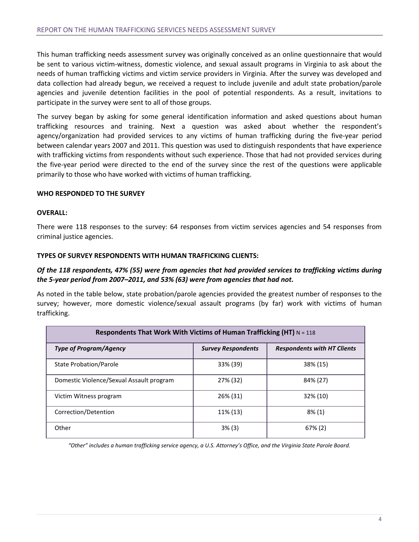This human trafficking needs assessment survey was originally conceived as an online questionnaire that would be sent to various victim-witness, domestic violence, and sexual assault programs in Virginia to ask about the needs of human trafficking victims and victim service providers in Virginia. After the survey was developed and data collection had already begun, we received a request to include juvenile and adult state probation/parole agencies and juvenile detention facilities in the pool of potential respondents. As a result, invitations to participate in the survey were sent to all of those groups.

The survey began by asking for some general identification information and asked questions about human trafficking resources and training. Next a question was asked about whether the respondent's agency/organization had provided services to any victims of human trafficking during the five-year period between calendar years 2007 and 2011. This question was used to distinguish respondents that have experience with trafficking victims from respondents without such experience. Those that had not provided services during the five-year period were directed to the end of the survey since the rest of the questions were applicable primarily to those who have worked with victims of human trafficking.

# **WHO RESPONDED TO THE SURVEY**

# **OVERALL:**

There were 118 responses to the survey: 64 responses from victim services agencies and 54 responses from criminal justice agencies.

#### **TYPES OF SURVEY RESPONDENTS WITH HUMAN TRAFFICKING CLIENTS:**

# *Of the 118 respondents, 47% (55) were from agencies that had provided services to trafficking victims during the 5-year period from 2007–2011, and 53% (63) were from agencies that had not.*

As noted in the table below, state probation/parole agencies provided the greatest number of responses to the survey; however, more domestic violence/sexual assault programs (by far) work with victims of human trafficking.

| Respondents That Work With Victims of Human Trafficking (HT) $N = 118$ |                           |                                    |  |
|------------------------------------------------------------------------|---------------------------|------------------------------------|--|
| <b>Type of Program/Agency</b>                                          | <b>Survey Respondents</b> | <b>Respondents with HT Clients</b> |  |
| State Probation/Parole                                                 | 33% (39)                  | 38% (15)                           |  |
| Domestic Violence/Sexual Assault program                               | 27% (32)                  | 84% (27)                           |  |
| Victim Witness program                                                 | 26% (31)                  | 32% (10)                           |  |
| Correction/Detention                                                   | 11% (13)                  | $8\%$ (1)                          |  |
| Other                                                                  | 3% (3)                    | $67\%$ (2)                         |  |

*"Other" includes a human trafficking service agency, a U.S. Attorney's Office, and the Virginia State Parole Board.*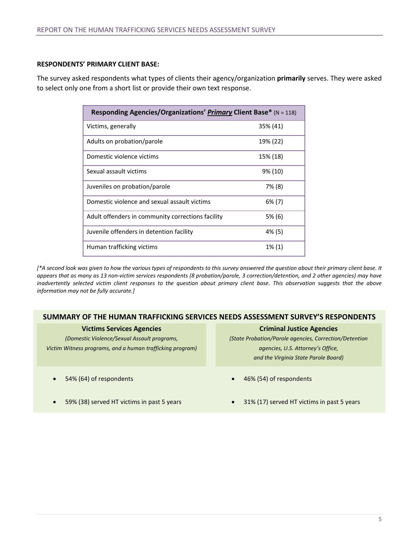#### **RESPONDENTS' PRIMARY CLIENT BASE:**

The survey asked respondents what types of clients their agency/organization **primarily** serves. They were asked to select only one from a short list or provide their own text response.

| Responding Agencies/Organizations' Primary Client Base* (N = 118) |           |  |
|-------------------------------------------------------------------|-----------|--|
| Victims, generally                                                | 35% (41)  |  |
| Adults on probation/parole                                        | 19% (22)  |  |
| Domestic violence victims                                         | 15% (18)  |  |
| Sexual assault victims                                            | 9% (10)   |  |
| Juveniles on probation/parole                                     | 7% (8)    |  |
| Domestic violence and sexual assault victims                      | $6\%$ (7) |  |
| Adult offenders in community corrections facility                 | 5% (6)    |  |
| Juvenile offenders in detention facility                          | 4% (5)    |  |
| Human trafficking victims                                         | 1% (1)    |  |

*[\*A second look was given to how the various types of respondents to this survey answered the question about their primary client base. It appears that as many as 13 non-victim services respondents (8 probation/parole, 3 correction/detention, and 2 other agencies) may have inadvertently selected victim client responses to the question about primary client base. This observation suggests that the above information may not be fully accurate.]*

# **SUMMARY OF THE HUMAN TRAFFICKING SERVICES NEEDS ASSESSMENT SURVEY'S RESPONDENTS**

| <b>Victims Services Agencies</b>                          | <b>Criminal Justice Agencies</b>                        |
|-----------------------------------------------------------|---------------------------------------------------------|
| (Domestic Violence/Sexual Assault programs,               | (State Probation/Parole agencies, Correction/Detention  |
| Victim Witness programs, and a human trafficking program) | agencies, U.S. Attorney's Office,                       |
|                                                           | and the Virginia State Parole Board)                    |
| 54% (64) of respondents<br>$\bullet$                      | 46% (54) of respondents<br>$\bullet$                    |
| 59% (38) served HT victims in past 5 years<br>$\bullet$   | 31% (17) served HT victims in past 5 years<br>$\bullet$ |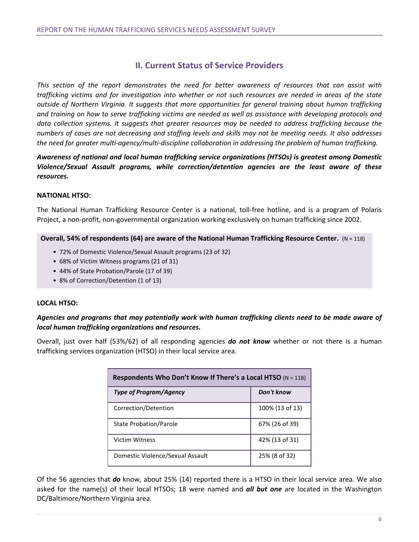# **II. Current Status of Service Providers**

*This section of the report demonstrates the need for better awareness of resources that can assist with trafficking victims and for investigation into whether or not such resources are needed in areas of the state outside of Northern Virginia. It suggests that more opportunities for general training about human trafficking and training on how to serve trafficking victims are needed as well as assistance with developing protocols and data collection systems. It suggests that greater resources may be needed to address trafficking because the numbers of cases are not decreasing and staffing levels and skills may not be meeting needs. It also addresses the need for greater multi-agency/multi-discipline collaboration in addressing the problem of human trafficking.*

*Awareness of national and local human trafficking service organizations (HTSOs) is greatest among Domestic Violence/Sexual Assault programs, while correction/detention agencies are the least aware of these resources.*

# **NATIONAL HTSO:**

The National Human Trafficking Resource Center is a national, toll-free hotline, and is a program of Polaris Project, a non-profit, non-governmental organization working exclusively on human trafficking since 2002.

**Overall, 54% of respondents (64) are aware of the National Human Trafficking Resource Center.** (N = 118)

- 72% of Domestic Violence/Sexual Assault programs (23 of 32)
- 68% of Victim Witness programs (21 of 31)
- 44% of State Probation/Parole (17 of 39)
- 8% of Correction/Detention (1 of 13)

# **LOCAL HTSO:**

# *Agencies and programs that may potentially work with human trafficking clients need to be made aware of local human trafficking organizations and resources.*

Overall, just over half (53%/62) of all responding agencies *do not know* whether or not there is a human trafficking services organization (HTSO) in their local service area.

| Respondents Who Don't Know If There's a Local HTSO $(N = 118)$ |                 |  |
|----------------------------------------------------------------|-----------------|--|
| <b>Type of Program/Agency</b>                                  | Don't know      |  |
| Correction/Detention                                           | 100% (13 of 13) |  |
| <b>State Probation/Parole</b>                                  | 67% (26 of 39)  |  |
| <b>Victim Witness</b>                                          | 42% (13 of 31)  |  |
| Domestic Violence/Sexual Assault                               | 25% (8 of 32)   |  |

Of the 56 agencies that *do* know, about 25% (14) reported there is a HTSO in their local service area. We also asked for the name(s) of their local HTSOs; 18 were named and *all but one* are located in the Washington DC/Baltimore/Northern Virginia area.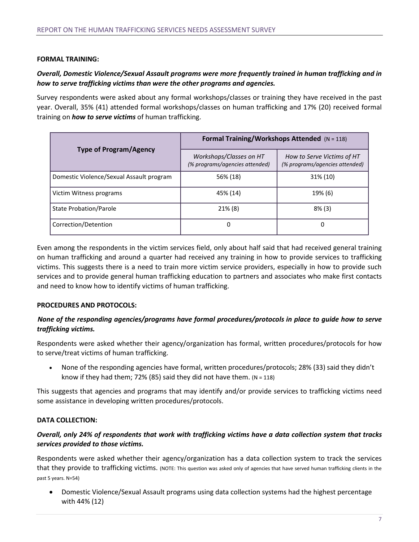# **FORMAL TRAINING:**

# *Overall, Domestic Violence/Sexual Assault programs were more frequently trained in human trafficking and in how to serve trafficking victims than were the other programs and agencies.*

Survey respondents were asked about any formal workshops/classes or training they have received in the past year. Overall, 35% (41) attended formal workshops/classes on human trafficking and 17% (20) received formal training on *how to serve victims* of human trafficking.

|                                          | Formal Training/Workshops Attended (N = 118)              |                                                              |  |
|------------------------------------------|-----------------------------------------------------------|--------------------------------------------------------------|--|
| <b>Type of Program/Agency</b>            | Workshops/Classes on HT<br>(% programs/agencies attended) | How to Serve Victims of HT<br>(% programs/agencies attended) |  |
| Domestic Violence/Sexual Assault program | 56% (18)                                                  | 31% (10)                                                     |  |
| Victim Witness programs                  | 45% (14)                                                  | 19% (6)                                                      |  |
| State Probation/Parole                   | 21% (8)                                                   | $8\%$ (3)                                                    |  |
| Correction/Detention                     | 0                                                         | 0                                                            |  |

Even among the respondents in the victim services field, only about half said that had received general training on human trafficking and around a quarter had received any training in how to provide services to trafficking victims. This suggests there is a need to train more victim service providers, especially in how to provide such services and to provide general human trafficking education to partners and associates who make first contacts and need to know how to identify victims of human trafficking.

#### **PROCEDURES AND PROTOCOLS:**

# *None of the responding agencies/programs have formal procedures/protocols in place to guide how to serve trafficking victims.*

Respondents were asked whether their agency/organization has formal, written procedures/protocols for how to serve/treat victims of human trafficking.

• None of the responding agencies have formal, written procedures/protocols; 28% (33) said they didn't know if they had them; 72% (85) said they did not have them.  $(N = 118)$ 

This suggests that agencies and programs that may identify and/or provide services to trafficking victims need some assistance in developing written procedures/protocols.

# **DATA COLLECTION:**

# *Overall, only 24% of respondents that work with trafficking victims have a data collection system that tracks services provided to those victims.*

Respondents were asked whether their agency/organization has a data collection system to track the services that they provide to trafficking victims. (NOTE: This question was asked only of agencies that have served human trafficking clients in the past 5 years. N=54)

• Domestic Violence/Sexual Assault programs using data collection systems had the highest percentage with 44% (12)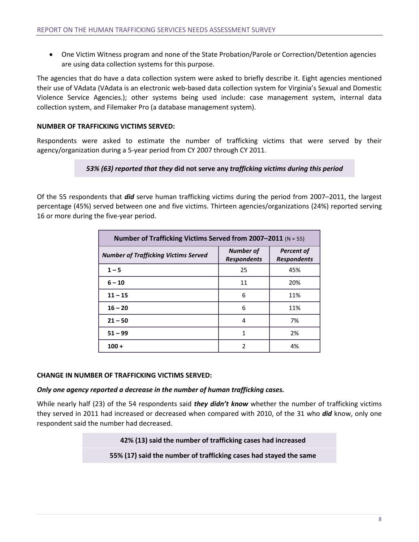• One Victim Witness program and none of the State Probation/Parole or Correction/Detention agencies are using data collection systems for this purpose.

The agencies that do have a data collection system were asked to briefly describe it. Eight agencies mentioned their use of VAdata (VAdata is an electronic web-based data collection system for Virginia's Sexual and Domestic Violence Service Agencies.); other systems being used include: case management system, internal data collection system, and Filemaker Pro (a database management system).

# **NUMBER OF TRAFFICKING VICTIMS SERVED:**

Respondents were asked to estimate the number of trafficking victims that were served by their agency/organization during a 5-year period from CY 2007 through CY 2011.

# *53% (63) reported that they* **did not serve any** *trafficking victims during this period*

Of the 55 respondents that *did* serve human trafficking victims during the period from 2007–2011, the largest percentage (45%) served between one and five victims. Thirteen agencies/organizations (24%) reported serving 16 or more during the five-year period.

| Number of Trafficking Victims Served from 2007-2011 (N = 55) |                                        |                                         |
|--------------------------------------------------------------|----------------------------------------|-----------------------------------------|
| <b>Number of Trafficking Victims Served</b>                  | <b>Number of</b><br><b>Respondents</b> | <b>Percent of</b><br><b>Respondents</b> |
| $1 - 5$                                                      | 25                                     | 45%                                     |
| $6 - 10$                                                     | 11                                     | 20%                                     |
| $11 - 15$                                                    | 6                                      | 11%                                     |
| $16 - 20$                                                    | 6                                      | 11%                                     |
| $21 - 50$                                                    | 4                                      | 7%                                      |
| $51 - 99$                                                    | 1                                      | 2%                                      |
| $100 +$                                                      | 2                                      | 4%                                      |

# **CHANGE IN NUMBER OF TRAFFICKING VICTIMS SERVED:**

# *Only one agency reported a decrease in the number of human trafficking cases.*

While nearly half (23) of the 54 respondents said *they didn't know* whether the number of trafficking victims they served in 2011 had increased or decreased when compared with 2010, of the 31 who *did* know, only one respondent said the number had decreased.

**42% (13) said the number of trafficking cases had increased**

**55% (17) said the number of trafficking cases had stayed the same**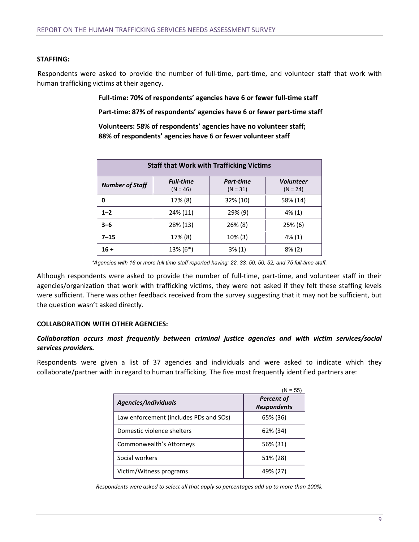#### **STAFFING:**

Respondents were asked to provide the number of full-time, part-time, and volunteer staff that work with human trafficking victims at their agency.

**Full-time: 70% of respondents' agencies have 6 or fewer full-time staff**

**Part-time: 87% of respondents' agencies have 6 or fewer part-time staff**

**Volunteers: 58% of respondents' agencies have no volunteer staff; 88% of respondents' agencies have 6 or fewer volunteer staff**

| <b>Staff that Work with Trafficking Victims</b> |                                |                         |                                |
|-------------------------------------------------|--------------------------------|-------------------------|--------------------------------|
| <b>Number of Staff</b>                          | <b>Full-time</b><br>$(N = 46)$ | Part-time<br>$(N = 31)$ | <b>Volunteer</b><br>$(N = 24)$ |
| 0                                               | 17% (8)                        | 32% (10)                | 58% (14)                       |
| $1 - 2$                                         | 24% (11)                       | $29\%$ (9)              | 4% (1)                         |
| $3 - 6$                                         | 28% (13)                       | $26\%$ (8)              | $25\%$ (6)                     |
| $7 - 15$                                        | 17% (8)                        | $10\%$ (3)              | 4% (1)                         |
| $16 +$                                          | 13% (6*)                       | $3\%$ (1)               | $8\%$ (2)                      |

*<sup>\*</sup>Agencies with 16 or more full time staff reported having: 22, 33, 50, 50, 52, and 75 full-time staff.*

Although respondents were asked to provide the number of full-time, part-time, and volunteer staff in their agencies/organization that work with trafficking victims, they were not asked if they felt these staffing levels were sufficient. There was other feedback received from the survey suggesting that it may not be sufficient, but the question wasn't asked directly.

# **COLLABORATION WITH OTHER AGENCIES:**

# *Collaboration occurs most frequently between criminal justice agencies and with victim services/social services providers.*

Respondents were given a list of 37 agencies and individuals and were asked to indicate which they collaborate/partner with in regard to human trafficking. The five most frequently identified partners are:

|                                        | $(N = 55)$                              |
|----------------------------------------|-----------------------------------------|
| Agencies/Individuals                   | <b>Percent of</b><br><b>Respondents</b> |
| Law enforcement (includes PDs and SOs) | 65% (36)                                |
| Domestic violence shelters             | 62% (34)                                |
| Commonwealth's Attorneys               | 56% (31)                                |
| Social workers                         | 51% (28)                                |
| Victim/Witness programs                | 49% (27)                                |

*Respondents were asked to select all that apply so percentages add up to more than 100%.*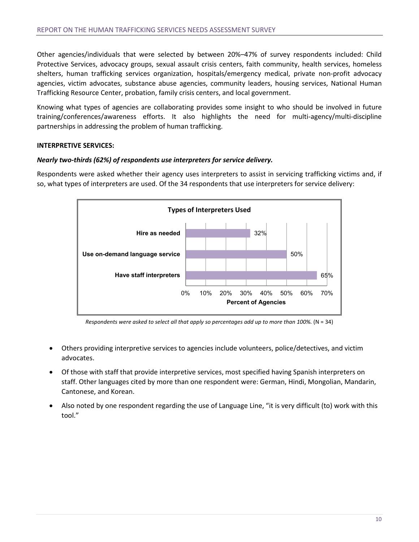Other agencies/individuals that were selected by between 20%–47% of survey respondents included: Child Protective Services, advocacy groups, sexual assault crisis centers, faith community, health services, homeless shelters, human trafficking services organization, hospitals/emergency medical, private non-profit advocacy agencies, victim advocates, substance abuse agencies, community leaders, housing services, National Human Trafficking Resource Center, probation, family crisis centers, and local government.

Knowing what types of agencies are collaborating provides some insight to who should be involved in future training/conferences/awareness efforts. It also highlights the need for multi-agency/multi-discipline partnerships in addressing the problem of human trafficking.

# **INTERPRETIVE SERVICES:**

# *Nearly two-thirds (62%) of respondents use interpreters for service delivery.*

Respondents were asked whether their agency uses interpreters to assist in servicing trafficking victims and, if so, what types of interpreters are used. Of the 34 respondents that use interpreters for service delivery:



*Respondents were asked to select all that apply so percentages add up to more than 100%.* (N = 34)

- Others providing interpretive services to agencies include volunteers, police/detectives, and victim advocates.
- Of those with staff that provide interpretive services, most specified having Spanish interpreters on staff. Other languages cited by more than one respondent were: German, Hindi, Mongolian, Mandarin, Cantonese, and Korean.
- Also noted by one respondent regarding the use of Language Line, "it is very difficult (to) work with this tool."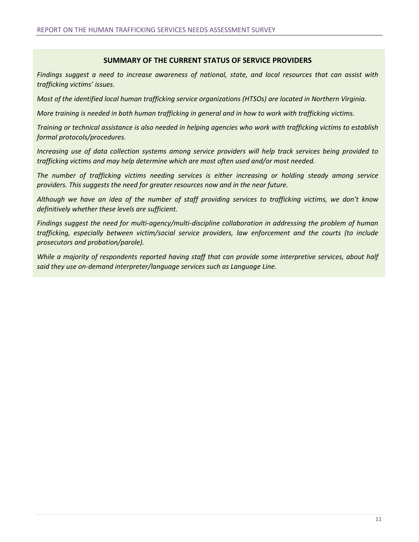# **SUMMARY OF THE CURRENT STATUS OF SERVICE PROVIDERS**

*Findings suggest a need to increase awareness of national, state, and local resources that can assist with trafficking victims' issues.*

*Most of the identified local human trafficking service organizations (HTSOs) are located in Northern Virginia.* 

*More training is needed in both human trafficking in general and in how to work with trafficking victims.*

*Training or technical assistance is also needed in helping agencies who work with trafficking victims to establish formal protocols/procedures.* 

*Increasing use of data collection systems among service providers will help track services being provided to trafficking victims and may help determine which are most often used and/or most needed.*

*The number of trafficking victims needing services is either increasing or holding steady among service providers. This suggests the need for greater resources now and in the near future.*

*Although we have an idea of the number of staff providing services to trafficking victims, we don't know definitively whether these levels are sufficient.* 

*Findings suggest the need for multi-agency/multi-discipline collaboration in addressing the problem of human trafficking, especially between victim/social service providers, law enforcement and the courts (to include prosecutors and probation/parole).*

*While a majority of respondents reported having staff that can provide some interpretive services, about half said they use on-demand interpreter/language services such as Language Line.*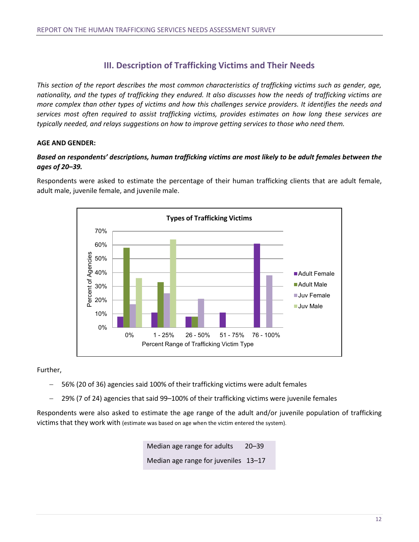# **III. Description of Trafficking Victims and Their Needs**

*This section of the report describes the most common characteristics of trafficking victims such as gender, age, nationality, and the types of trafficking they endured. It also discusses how the needs of trafficking victims are more complex than other types of victims and how this challenges service providers. It identifies the needs and services most often required to assist trafficking victims, provides estimates on how long these services are typically needed, and relays suggestions on how to improve getting services to those who need them.*

# **AGE AND GENDER:**

# *Based on respondents' descriptions, human trafficking victims are most likely to be adult females between the ages of 20–39.*

Respondents were asked to estimate the percentage of their human trafficking clients that are adult female, adult male, juvenile female, and juvenile male.



Further,

- − 56% (20 of 36) agencies said 100% of their trafficking victims were adult females
- − 29% (7 of 24) agencies that said 99–100% of their trafficking victims were juvenile females

Respondents were also asked to estimate the age range of the adult and/or juvenile population of trafficking victims that they work with (estimate was based on age when the victim entered the system).

> Median age range for adults 20–39 Median age range for juveniles 13–17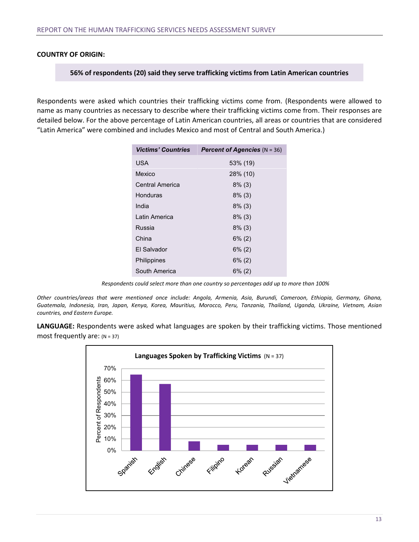# **COUNTRY OF ORIGIN:**

#### **56% of respondents (20) said they serve trafficking victims from Latin American countries**

Respondents were asked which countries their trafficking victims come from. (Respondents were allowed to name as many countries as necessary to describe where their trafficking victims come from. Their responses are detailed below. For the above percentage of Latin American countries, all areas or countries that are considered "Latin America" were combined and includes Mexico and most of Central and South America.)

| <b>Victims' Countries</b> | <b>Percent of Agencies</b> $(N = 36)$ |
|---------------------------|---------------------------------------|
| <b>USA</b>                | 53% (19)                              |
| Mexico                    | 28% (10)                              |
| Central America           | $8\%$ (3)                             |
| Honduras                  | $8\%$ (3)                             |
| India                     | $8\%$ (3)                             |
| Latin America             | $8\%$ (3)                             |
| Russia                    | $8\%$ (3)                             |
| China                     | $6\%$ (2)                             |
| El Salvador               | $6\%$ (2)                             |
| Philippines               | $6\%$ (2)                             |
| South America             | $6\%$ (2)                             |

*Respondents could select more than one country so percentages add up to more than 100%*

*Other countries/areas that were mentioned once include: Angola, Armenia, Asia, Burundi, Cameroon, Ethiopia, Germany, Ghana, Guatemala, Indonesia, Iran, Japan, Kenya, Korea, Mauritius, Morocco, Peru, Tanzania, Thailand, Uganda, Ukraine, Vietnam, Asian countries, and Eastern Europe.*

**LANGUAGE:** Respondents were asked what languages are spoken by their trafficking victims. Those mentioned most frequently are:  $(N = 37)$ 

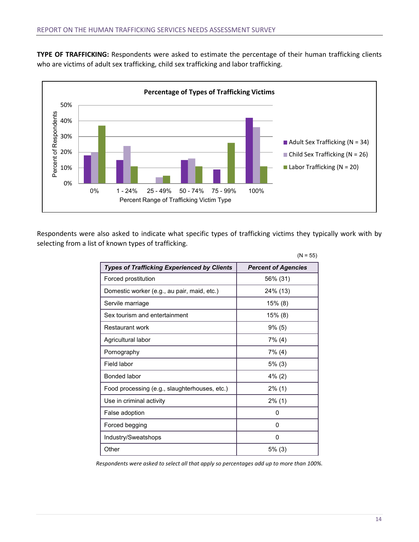**TYPE OF TRAFFICKING:** Respondents were asked to estimate the percentage of their human trafficking clients who are victims of adult sex trafficking, child sex trafficking and labor trafficking.



Respondents were also asked to indicate what specific types of trafficking victims they typically work with by selecting from a list of known types of trafficking.

|                                                    | $(N = 55)$                 |
|----------------------------------------------------|----------------------------|
| <b>Types of Trafficking Experienced by Clients</b> | <b>Percent of Agencies</b> |
| Forced prostitution                                | 56% (31)                   |
| Domestic worker (e.g., au pair, maid, etc.)        | 24% (13)                   |
| Servile marriage                                   | $15\%$ (8)                 |
| Sex tourism and entertainment                      | 15% (8)                    |
| Restaurant work                                    | $9\%$ (5)                  |
| Agricultural labor                                 | $7\%$ (4)                  |
| Pornography                                        | 7% (4)                     |
| Field labor                                        | $5%$ (3)                   |
| Bonded labor                                       | $4\%$ (2)                  |
| Food processing (e.g., slaughterhouses, etc.)      | $2\%$ (1)                  |
| Use in criminal activity                           | $2\%$ (1)                  |
| False adoption                                     | 0                          |
| Forced begging                                     | 0                          |
| Industry/Sweatshops                                | 0                          |
| Other                                              | $5\%$ (3)                  |

*Respondents were asked to select all that apply so percentages add up to more than 100%.*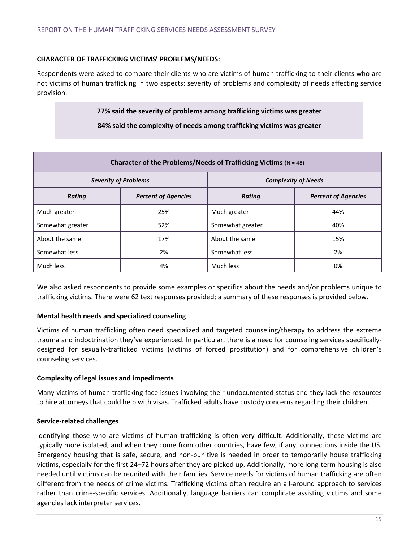# **CHARACTER OF TRAFFICKING VICTIMS' PROBLEMS/NEEDS:**

Respondents were asked to compare their clients who are victims of human trafficking to their clients who are not victims of human trafficking in two aspects: severity of problems and complexity of needs affecting service provision.

**77% said the severity of problems among trafficking victims was greater**

**84% said the complexity of needs among trafficking victims was greater**

| Character of the Problems/Needs of Trafficking Victims ( $N = 48$ ) |                            |                            |                            |
|---------------------------------------------------------------------|----------------------------|----------------------------|----------------------------|
| <b>Severity of Problems</b>                                         |                            | <b>Complexity of Needs</b> |                            |
| <b>Rating</b>                                                       | <b>Percent of Agencies</b> | Rating                     | <b>Percent of Agencies</b> |
| Much greater                                                        | 25%                        | Much greater               | 44%                        |
| Somewhat greater                                                    | 52%                        | Somewhat greater           | 40%                        |
| About the same                                                      | 17%                        | About the same             | 15%                        |
| Somewhat less                                                       | 2%                         | Somewhat less              | 2%                         |
| Much less                                                           | 4%                         | Much less                  | 0%                         |

We also asked respondents to provide some examples or specifics about the needs and/or problems unique to trafficking victims. There were 62 text responses provided; a summary of these responses is provided below.

# **Mental health needs and specialized counseling**

Victims of human trafficking often need specialized and targeted counseling/therapy to address the extreme trauma and indoctrination they've experienced. In particular, there is a need for counseling services specificallydesigned for sexually-trafficked victims (victims of forced prostitution) and for comprehensive children's counseling services.

# **Complexity of legal issues and impediments**

Many victims of human trafficking face issues involving their undocumented status and they lack the resources to hire attorneys that could help with visas. Trafficked adults have custody concerns regarding their children.

# **Service-related challenges**

Identifying those who are victims of human trafficking is often very difficult. Additionally, these victims are typically more isolated, and when they come from other countries, have few, if any, connections inside the US. Emergency housing that is safe, secure, and non-punitive is needed in order to temporarily house trafficking victims, especially for the first 24–72 hours after they are picked up. Additionally, more long-term housing is also needed until victims can be reunited with their families. Service needs for victims of human trafficking are often different from the needs of crime victims. Trafficking victims often require an all-around approach to services rather than crime-specific services. Additionally, language barriers can complicate assisting victims and some agencies lack interpreter services.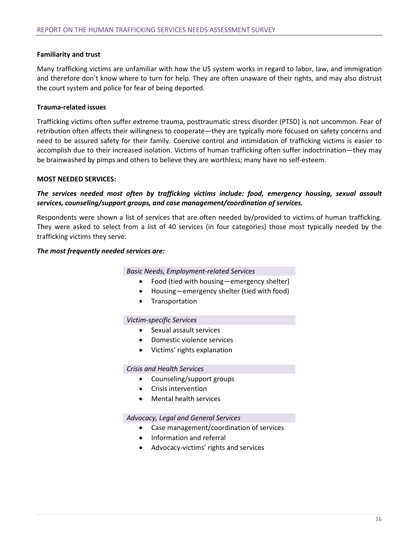# **Familiarity and trust**

Many trafficking victims are unfamiliar with how the US system works in regard to labor, law, and immigration and therefore don't know where to turn for help. They are often unaware of their rights, and may also distrust the court system and police for fear of being deported.

# **Trauma-related issues**

Trafficking victims often suffer extreme trauma, posttraumatic stress disorder (PTSD) is not uncommon. Fear of retribution often affects their willingness to cooperate—they are typically more focused on safety concerns and need to be assured safety for their family. Coercive control and intimidation of trafficking victims is easier to accomplish due to their increased isolation. Victims of human trafficking often suffer indoctrination—they may be brainwashed by pimps and others to believe they are worthless; many have no self-esteem.

# **MOST NEEDED SERVICES:**

# *The services needed most often by trafficking victims include: food, emergency housing, sexual assault services, counseling/support groups, and case management/coordination of services.*

Respondents were shown a list of services that are often needed by/provided to victims of human trafficking. They were asked to select from a list of 40 services (in four categories) those most typically needed by the trafficking victims they serve.

#### *The most frequently needed services are:*

#### *Basic Needs, Employment-related Services*

- Food (tied with housing—emergency shelter)
- Housing—emergency shelter (tied with food)
- Transportation

#### *Victim-specific Services*

- Sexual assault services
- Domestic violence services
- Victims' rights explanation

# *Crisis and Health Services*

- Counseling/support groups
- Crisis intervention
- Mental health services

#### *Advocacy, Legal and General Services*

- Case management/coordination of services
- Information and referral
- Advocacy-victims' rights and services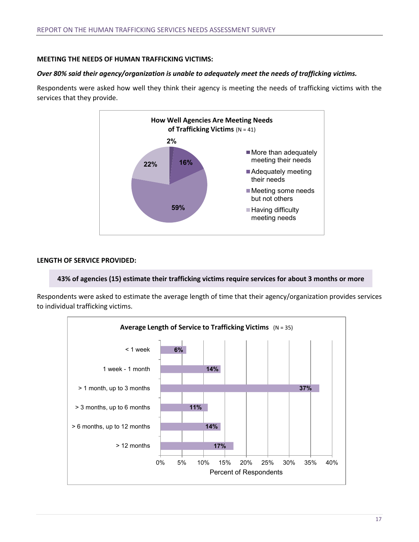# **MEETING THE NEEDS OF HUMAN TRAFFICKING VICTIMS:**

# *Over 80% said their agency/organization is unable to adequately meet the needs of trafficking victims.*

Respondents were asked how well they think their agency is meeting the needs of trafficking victims with the services that they provide.



# **LENGTH OF SERVICE PROVIDED:**

# **43% of agencies (15) estimate their trafficking victims require services for about 3 months or more**

Respondents were asked to estimate the average length of time that their agency/organization provides services to individual trafficking victims.

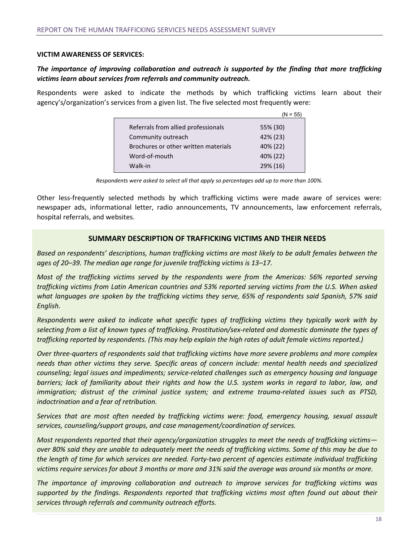#### **VICTIM AWARENESS OF SERVICES:**

# *The importance of improving collaboration and outreach is supported by the finding that more trafficking victims learn about services from referrals and community outreach.*

Respondents were asked to indicate the methods by which trafficking victims learn about their agency's/organization's services from a given list. The five selected most frequently were:

|                                      | $(N = 55)$ |
|--------------------------------------|------------|
| Referrals from allied professionals  | 55% (30)   |
| Community outreach                   | 42% (23)   |
| Brochures or other written materials | 40% (22)   |
| Word-of-mouth                        | 40% (22)   |
| Walk-in                              | 29% (16)   |

*Respondents were asked to select all that apply so percentages add up to more than 100%.*

Other less-frequently selected methods by which trafficking victims were made aware of services were: newspaper ads, informational letter, radio announcements, TV announcements, law enforcement referrals, hospital referrals, and websites.

# **SUMMARY DESCRIPTION OF TRAFFICKING VICTIMS AND THEIR NEEDS**

*Based on respondents' descriptions, human trafficking victims are most likely to be adult females between the ages of 20–39. The median age range for juvenile trafficking victims is 13–17.*

*Most of the trafficking victims served by the respondents were from the Americas: 56% reported serving trafficking victims from Latin American countries and 53% reported serving victims from the U.S. When asked what languages are spoken by the trafficking victims they serve, 65% of respondents said Spanish, 57% said English.*

*Respondents were asked to indicate what specific types of trafficking victims they typically work with by selecting from a list of known types of trafficking. Prostitution/sex-related and domestic dominate the types of trafficking reported by respondents. (This may help explain the high rates of adult female victims reported.)*

*Over three-quarters of respondents said that trafficking victims have more severe problems and more complex needs than other victims they serve. Specific areas of concern include: mental health needs and specialized counseling; legal issues and impediments; service-related challenges such as emergency housing and language barriers; lack of familiarity about their rights and how the U.S. system works in regard to labor, law, and immigration; distrust of the criminal justice system; and extreme trauma-related issues such as PTSD, indoctrination and a fear of retribution.*

*Services that are most often needed by trafficking victims were: food, emergency housing, sexual assault services, counseling/support groups, and case management/coordination of services.*

*Most respondents reported that their agency/organization struggles to meet the needs of trafficking victims over 80% said they are unable to adequately meet the needs of trafficking victims. Some of this may be due to the length of time for which services are needed. Forty-two percent of agencies estimate individual trafficking victims require services for about 3 months or more and 31% said the average was around six months or more.* 

*The importance of improving collaboration and outreach to improve services for trafficking victims was supported by the findings. Respondents reported that trafficking victims most often found out about their services through referrals and community outreach efforts.*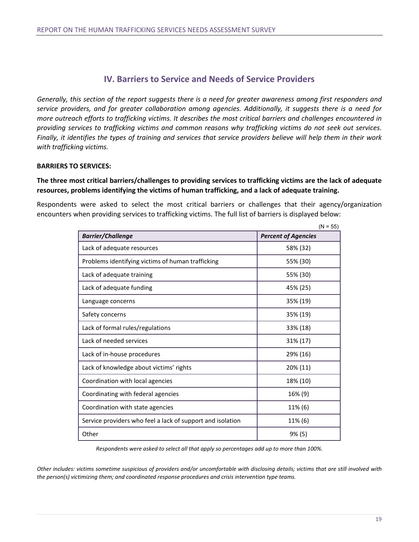# **IV. Barriers to Service and Needs of Service Providers**

*Generally, this section of the report suggests there is a need for greater awareness among first responders and service providers, and for greater collaboration among agencies. Additionally, it suggests there is a need for more outreach efforts to trafficking victims. It describes the most critical barriers and challenges encountered in providing services to trafficking victims and common reasons why trafficking victims do not seek out services. Finally, it identifies the types of training and services that service providers believe will help them in their work with trafficking victims.* 

# **BARRIERS TO SERVICES:**

# **The three most critical barriers/challenges to providing services to trafficking victims are the lack of adequate resources, problems identifying the victims of human trafficking, and a lack of adequate training.**

Respondents were asked to select the most critical barriers or challenges that their agency/organization encounters when providing services to trafficking victims. The full list of barriers is displayed below:

|                                                            | $(N = 55)$                 |
|------------------------------------------------------------|----------------------------|
| <b>Barrier/Challenge</b>                                   | <b>Percent of Agencies</b> |
| Lack of adequate resources                                 | 58% (32)                   |
| Problems identifying victims of human trafficking          | 55% (30)                   |
| Lack of adequate training                                  | 55% (30)                   |
| Lack of adequate funding                                   | 45% (25)                   |
| Language concerns                                          | 35% (19)                   |
| Safety concerns                                            | 35% (19)                   |
| Lack of formal rules/regulations                           | 33% (18)                   |
| Lack of needed services                                    | 31% (17)                   |
| Lack of in-house procedures                                | 29% (16)                   |
| Lack of knowledge about victims' rights                    | 20% (11)                   |
| Coordination with local agencies                           | 18% (10)                   |
| Coordinating with federal agencies                         | 16% (9)                    |
| Coordination with state agencies                           | 11% (6)                    |
| Service providers who feel a lack of support and isolation | 11% (6)                    |
| Other                                                      | $9\%$ (5)                  |

*Respondents were asked to select all that apply so percentages add up to more than 100%.*

*Other includes: victims sometime suspicious of providers and/or uncomfortable with disclosing details; victims that are still involved with the person(s) victimizing them; and coordinated response procedures and crisis intervention type teams.*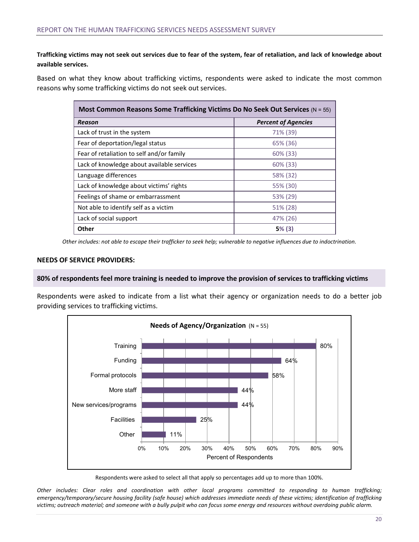# **Trafficking victims may not seek out services due to fear of the system, fear of retaliation, and lack of knowledge about available services.**

Based on what they know about trafficking victims, respondents were asked to indicate the most common reasons why some trafficking victims do not seek out services.

| Most Common Reasons Some Trafficking Victims Do No Seek Out Services (N = 55) |                            |
|-------------------------------------------------------------------------------|----------------------------|
| Reason                                                                        | <b>Percent of Agencies</b> |
| Lack of trust in the system                                                   | 71% (39)                   |
| Fear of deportation/legal status                                              | 65% (36)                   |
| Fear of retaliation to self and/or family                                     | $60\%$ (33)                |
| Lack of knowledge about available services                                    | $60\%$ (33)                |
| Language differences                                                          | 58% (32)                   |
| Lack of knowledge about victims' rights                                       | 55% (30)                   |
| Feelings of shame or embarrassment                                            | 53% (29)                   |
| Not able to identify self as a victim                                         | 51% (28)                   |
| Lack of social support                                                        | 47% (26)                   |
| Other                                                                         | 5% (3)                     |

*Other includes: not able to escape their trafficker to seek help; vulnerable to negative influences due to indoctrination.*

#### **NEEDS OF SERVICE PROVIDERS:**

#### **80% of respondents feel more training is needed to improve the provision of services to trafficking victims**

Respondents were asked to indicate from a list what their agency or organization needs to do a better job providing services to trafficking victims.



Respondents were asked to select all that apply so percentages add up to more than 100%.

*Other includes: Clear roles and coordination with other local programs committed to responding to human trafficking; emergency/temporary/secure housing facility (safe house) which addresses immediate needs of these victims; identification of trafficking victims; outreach material; and someone with a bully pulpit who can focus some energy and resources without overdoing public alarm.*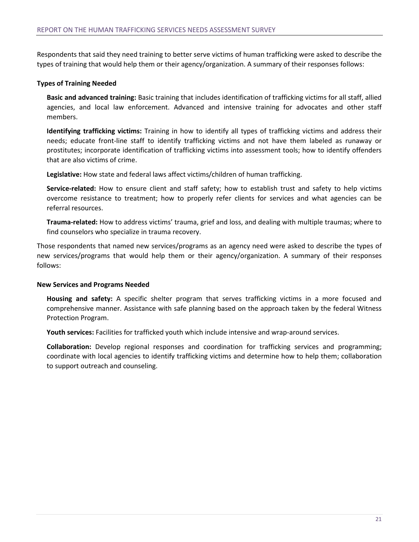Respondents that said they need training to better serve victims of human trafficking were asked to describe the types of training that would help them or their agency/organization. A summary of their responses follows:

# **Types of Training Needed**

**Basic and advanced training:** Basic training that includes identification of trafficking victims for all staff, allied agencies, and local law enforcement. Advanced and intensive training for advocates and other staff members.

**Identifying trafficking victims:** Training in how to identify all types of trafficking victims and address their needs; educate front-line staff to identify trafficking victims and not have them labeled as runaway or prostitutes; incorporate identification of trafficking victims into assessment tools; how to identify offenders that are also victims of crime.

**Legislative:** How state and federal laws affect victims/children of human trafficking.

**Service-related:** How to ensure client and staff safety; how to establish trust and safety to help victims overcome resistance to treatment; how to properly refer clients for services and what agencies can be referral resources.

**Trauma-related:** How to address victims' trauma, grief and loss, and dealing with multiple traumas; where to find counselors who specialize in trauma recovery.

Those respondents that named new services/programs as an agency need were asked to describe the types of new services/programs that would help them or their agency/organization. A summary of their responses follows:

# **New Services and Programs Needed**

**Housing and safety:** A specific shelter program that serves trafficking victims in a more focused and comprehensive manner. Assistance with safe planning based on the approach taken by the federal Witness Protection Program.

**Youth services:** Facilities for trafficked youth which include intensive and wrap-around services.

**Collaboration:** Develop regional responses and coordination for trafficking services and programming; coordinate with local agencies to identify trafficking victims and determine how to help them; collaboration to support outreach and counseling.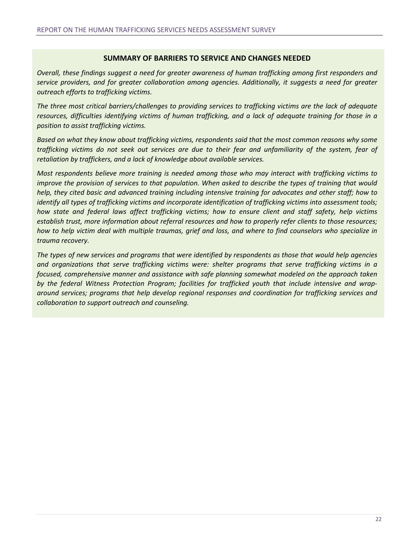# **SUMMARY OF BARRIERS TO SERVICE AND CHANGES NEEDED**

*Overall, these findings suggest a need for greater awareness of human trafficking among first responders and service providers, and for greater collaboration among agencies. Additionally, it suggests a need for greater outreach efforts to trafficking victims.*

*The three most critical barriers/challenges to providing services to trafficking victims are the lack of adequate resources, difficulties identifying victims of human trafficking, and a lack of adequate training for those in a position to assist trafficking victims.*

*Based on what they know about trafficking victims, respondents said that the most common reasons why some trafficking victims do not seek out services are due to their fear and unfamiliarity of the system, fear of retaliation by traffickers, and a lack of knowledge about available services.*

*Most respondents believe more training is needed among those who may interact with trafficking victims to improve the provision of services to that population. When asked to describe the types of training that would help, they cited basic and advanced training including intensive training for advocates and other staff; how to identify all types of trafficking victims and incorporate identification of trafficking victims into assessment tools; how state and federal laws affect trafficking victims; how to ensure client and staff safety, help victims establish trust, more information about referral resources and how to properly refer clients to those resources; how to help victim deal with multiple traumas, grief and loss, and where to find counselors who specialize in trauma recovery.* 

*The types of new services and programs that were identified by respondents as those that would help agencies and organizations that serve trafficking victims were: shelter programs that serve trafficking victims in a focused, comprehensive manner and assistance with safe planning somewhat modeled on the approach taken by the federal Witness Protection Program; facilities for trafficked youth that include intensive and wraparound services; programs that help develop regional responses and coordination for trafficking services and collaboration to support outreach and counseling.*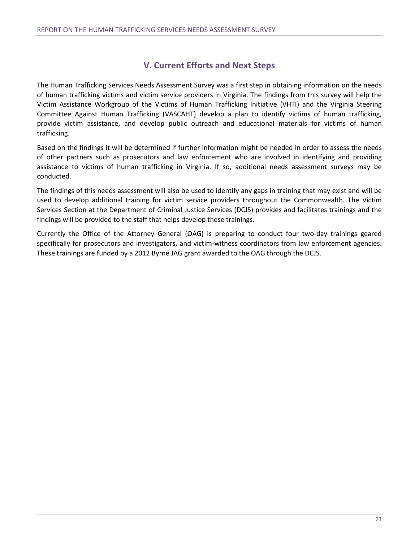# **V. Current Efforts and Next Steps**

The Human Trafficking Services Needs Assessment Survey was a first step in obtaining information on the needs of human trafficking victims and victim service providers in Virginia. The findings from this survey will help the Victim Assistance Workgroup of the Victims of Human Trafficking Initiative (VHTI) and the Virginia Steering Committee Against Human Trafficking (VASCAHT) develop a plan to identify victims of human trafficking, provide victim assistance, and develop public outreach and educational materials for victims of human trafficking.

Based on the findings it will be determined if further information might be needed in order to assess the needs of other partners such as prosecutors and law enforcement who are involved in identifying and providing assistance to victims of human trafficking in Virginia. If so, additional needs assessment surveys may be conducted.

The findings of this needs assessment will also be used to identify any gaps in training that may exist and will be used to develop additional training for victim service providers throughout the Commonwealth. The Victim Services Section at the Department of Criminal Justice Services (DCJS) provides and facilitates trainings and the findings will be provided to the staff that helps develop these trainings.

Currently the Office of the Attorney General (OAG) is preparing to conduct four two-day trainings geared specifically for prosecutors and investigators, and victim-witness coordinators from law enforcement agencies. These trainings are funded by a 2012 Byrne JAG grant awarded to the OAG through the DCJS.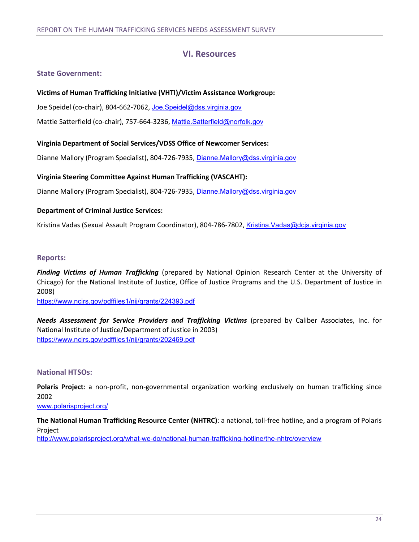# **VI. Resources**

# **State Government:**

# **Victims of Human Trafficking Initiative (VHTI)/Victim Assistance Workgroup:**

Joe Speidel (co-chair), 804-662-7062, Joe.Speidel@dss.virginia.gov

Mattie Satterfield (co-chair), 757-664-3236, Mattie.Satterfield@norfolk.gov

# **Virginia Department of Social Services/VDSS Office of Newcomer Services:**

Dianne Mallory (Program Specialist), 804-726-7935, Dianne.Mallory@dss.virginia.gov

# **Virginia Steering Committee Against Human Trafficking (VASCAHT):**

Dianne Mallory (Program Specialist), 804-726-7935, Dianne.Mallory@dss.virginia.gov

# **Department of Criminal Justice Services:**

Kristina Vadas (Sexual Assault Program Coordinator), 804-786-7802, Kristina.Vadas@dcjs.virginia.gov

# **Reports:**

*Finding Victims of Human Trafficking* (prepared by National Opinion Research Center at the University of Chicago) for the National Institute of Justice, Office of Justice Programs and the U.S. Department of Justice in 2008)

https://www.ncjrs.gov/pdffiles1/nij/grants/224393.pdf

*Needs Assessment for Service Providers and Trafficking Victims* (prepared by Caliber Associates, Inc. for National Institute of Justice/Department of Justice in 2003) https://www.ncjrs.gov/pdffiles1/nij/grants/202469.pdf

# **National HTSOs:**

**Polaris Project**: a non-profit, non-governmental organization working exclusively on human trafficking since 2002

www.polarisproject.org/

**The National Human Trafficking Resource Center (NHTRC)**: a national, toll-free hotline, and a program of Polaris Project

http://www.polarisproject.org/what-we-do/national-human-trafficking-hotline/the-nhtrc/overview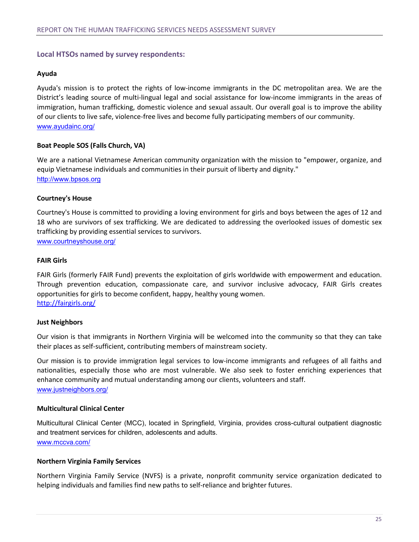# **Local HTSOs named by survey respondents:**

# **Ayuda**

Ayuda's mission is to protect the rights of low-income immigrants in the DC metropolitan area. We are the District's leading source of multi-lingual legal and social assistance for low-income immigrants in the areas of immigration, human trafficking, domestic violence and sexual assault. Our overall goal is to improve the ability of our clients to live safe, violence-free lives and become fully participating members of our community. www.ayudainc.org/

# **Boat People SOS (Falls Church, VA)**

We are a national Vietnamese American community organization with the mission to "empower, organize, and equip Vietnamese individuals and communities in their pursuit of liberty and dignity." http://www.bpsos.org

# **Courtney's House**

Courtney's House is committed to providing a loving environment for girls and boys between the ages of 12 and 18 who are survivors of sex trafficking. We are dedicated to addressing the overlooked issues of domestic sex trafficking by providing essential services to survivors. www.courtneyshouse.org/

**FAIR Girls**

FAIR Girls (formerly FAIR Fund) prevents the exploitation of girls worldwide with empowerment and education. Through prevention education, compassionate care, and survivor inclusive advocacy, FAIR Girls creates opportunities for girls to become confident, happy, healthy young women. http://fairgirls.org/

# **Just Neighbors**

Our vision is that immigrants in Northern Virginia will be welcomed into the community so that they can take their places as self-sufficient, contributing members of mainstream society.

Our mission is to provide immigration legal services to low-income immigrants and refugees of all faiths and nationalities, especially those who are most vulnerable. We also seek to foster enriching experiences that enhance community and mutual understanding among our clients, volunteers and staff. www.justneighbors.org/

# **Multicultural Clinical Center**

Multicultural Clinical Center (MCC), located in Springfield, Virginia, provides cross-cultural outpatient diagnostic and treatment services for children, adolescents and adults. www.mccva.com/

# **Northern Virginia Family Services**

Northern Virginia Family Service (NVFS) is a private, nonprofit community service organization dedicated to helping individuals and families find new paths to self-reliance and brighter futures.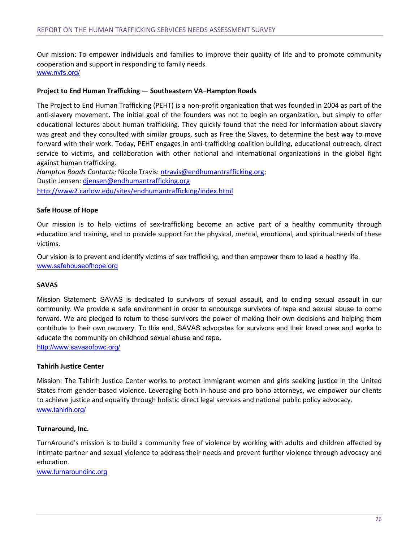Our mission: To empower individuals and families to improve their quality of life and to promote community cooperation and support in responding to family needs. www.nvfs.org/

#### **Project to End Human Trafficking — Southeastern VA–Hampton Roads**

The Project to End Human Trafficking (PEHT) is a non-profit organization that was founded in 2004 as part of the anti-slavery movement. The initial goal of the founders was not to begin an organization, but simply to offer educational lectures about human trafficking. They quickly found that the need for information about slavery was great and they consulted with similar groups, such as Free the Slaves, to determine the best way to move forward with their work. Today, PEHT engages in anti-trafficking coalition building, educational outreach, direct service to victims, and collaboration with other national and international organizations in the global fight against human trafficking.

*Hampton Roads Contacts:* Nicole Travis: ntravis@endhumantrafficking.org; Dustin Jensen: djensen@endhumantrafficking.org http://www2.carlow.edu/sites/endhumantrafficking/index.html

#### **Safe House of Hope**

Our mission is to help victims of sex-trafficking become an active part of a healthy community through education and training, and to provide support for the physical, mental, emotional, and spiritual needs of these victims.

Our vision is to prevent and identify victims of sex trafficking, and then empower them to lead a healthy life. www.safehouseofhope.org

#### **SAVAS**

Mission Statement: SAVAS is dedicated to survivors of sexual assault, and to ending sexual assault in our community. We provide a safe environment in order to encourage survivors of rape and sexual abuse to come forward. We are pledged to return to these survivors the power of making their own decisions and helping them contribute to their own recovery. To this end, SAVAS advocates for survivors and their loved ones and works to educate the community on childhood sexual abuse and rape.

http://www.savasofpwc.org/

#### **Tahirih Justice Center**

Mission: The Tahirih Justice Center works to protect immigrant women and girls seeking justice in the United States from gender-based violence. Leveraging both in-house and pro bono attorneys, we empower our clients to achieve justice and equality through holistic direct legal services and national public policy advocacy. www.tahirih.org/

#### **Turnaround, Inc.**

TurnAround's mission is to build a community free of violence by working with adults and children affected by intimate partner and sexual violence to address their needs and prevent further violence through advocacy and education.

www.turnaroundinc.org